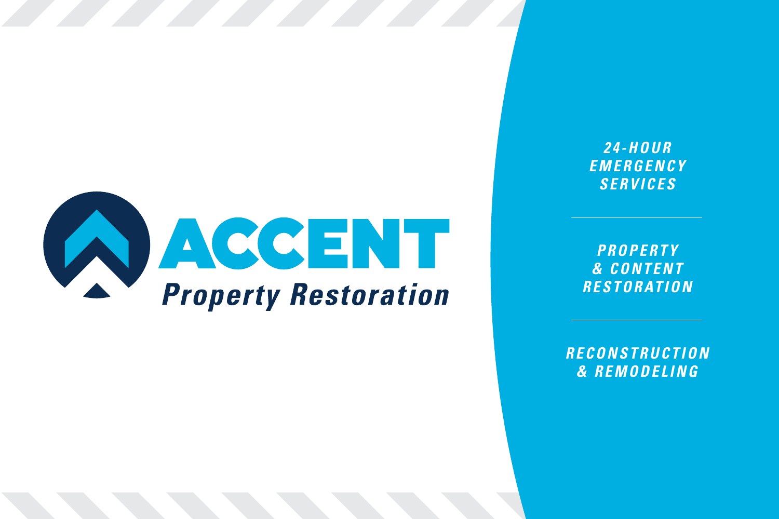

*2 <sup>4</sup> - H O U R E M E R G E N C Y SERVICES*

*PROPERTY & C O N T E N T R E S T O R AT I O N* 

*R E C O N S T R U C T I O N & REMODELING*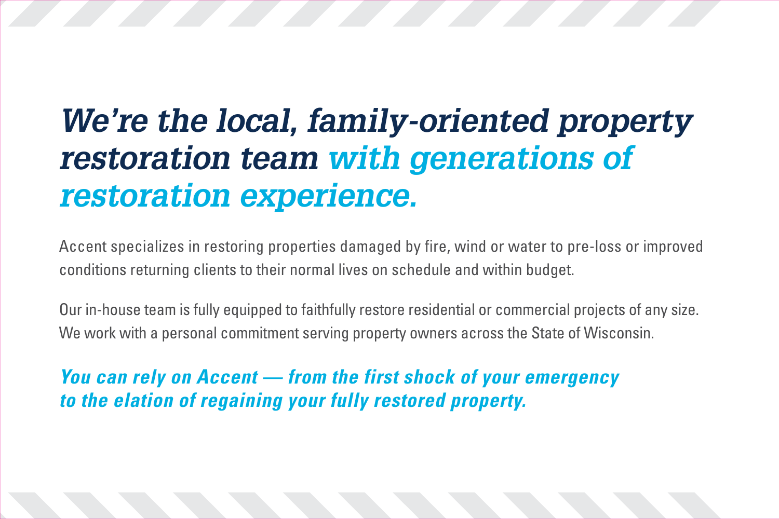# **We're the local, family-oriented property restoration team with generations of restoration experience.**

Accent specializes in restoring properties damaged by fire, wind or water to pre-loss or improved conditions returning clients to their normal lives on schedule and within budget.

Our in-house team is fully equipped to faithfully restore residential or commercial projects of any size. We work with a personal commitment serving property owners across the State of Wisconsin.

*You can rely on Accent — from the first shock of your emergency to the elation of regaining your fully restored property.*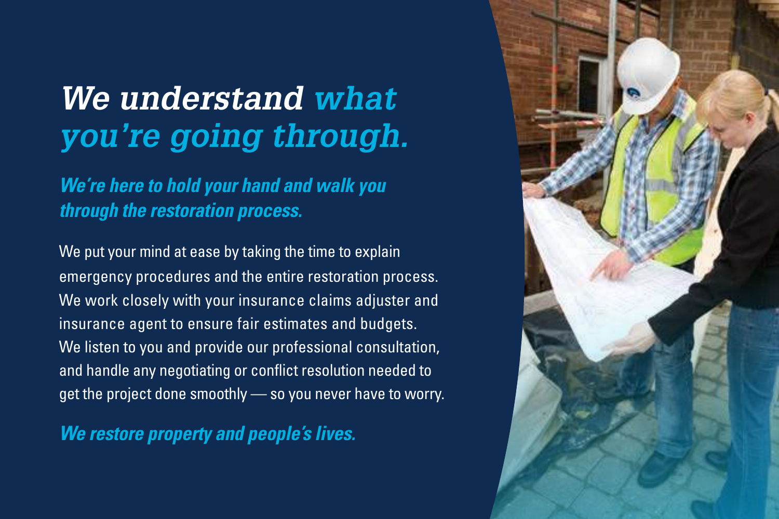## **We understand what you're going through.**

*We're here to hold your hand and walk you through the restoration process.*

We put your mind at ease by taking the time to explain emergency procedures and the entire restoration process. We work closely with your insurance claims adjuster and insurance agent to ensure fair estimates and budgets. We listen to you and provide our professional consultation, and handle any negotiating or conflict resolution needed to get the project done smoothly — so you never have to worry.

*We restore property and people's lives.*

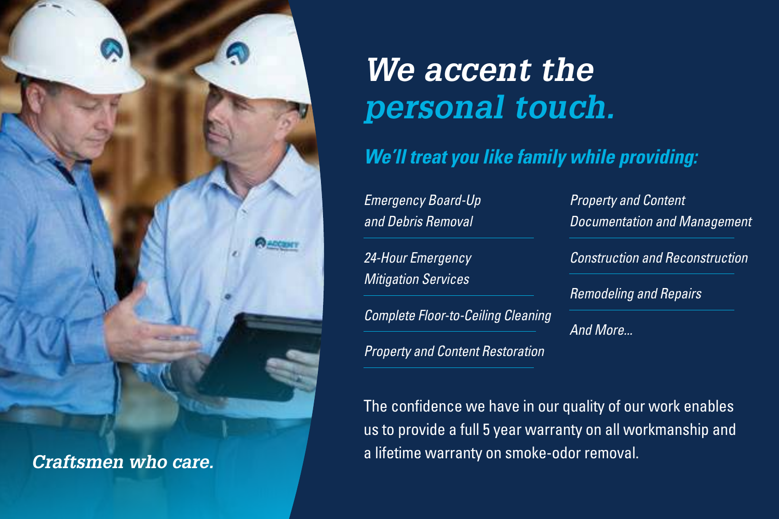

# **We accent the personal touch.**

*We'll treat you like family while providing:* 

Emergency Board-Up and Debris Removal

24-Hour Emergency **Mitigation Services** 

Complete Floor-to-Ceiling Cleaning

Property and Content Restoration

The confidence we have in our quality of our work enables us to provide a full 5 year warranty on all workmanship and a lifetime warranty on smoke-odor removal. **Craftsmen who care.** 

Property and Content Documentation and Management

Construction and Reconstruction

Remodeling and Repairs

And More...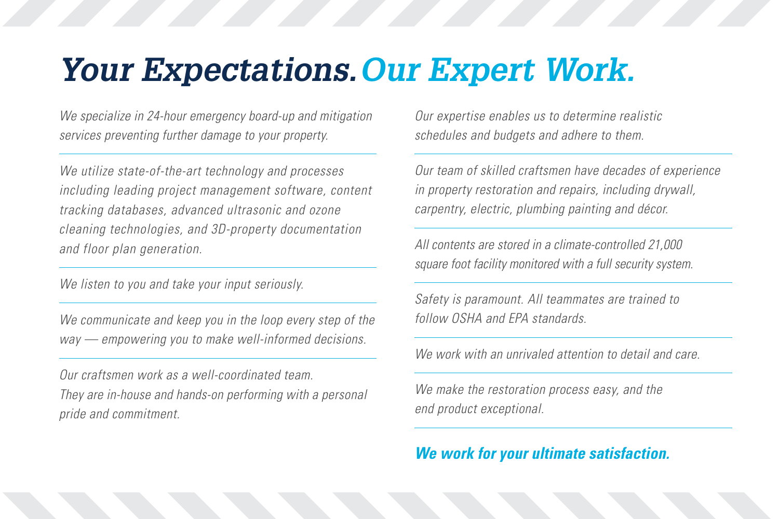### **Your Expectations. Our Expert Work.**

We specialize in 24-hour emergency board-up and mitigation services preventing further damage to your property.

We utilize state-of-the-art technology and processes including leading project management software, content tracking databases, advanced ultrasonic and ozone cleaning technologies, and 3D-property documentation and floor plan generation.

We listen to you and take your input seriously.

We communicate and keep you in the loop every step of the way — empowering you to make well-informed decisions.

Our craftsmen work as a well-coordinated team. They are in-house and hands-on performing with a personal pride and commitment.

Our expertise enables us to determine realistic schedules and budgets and adhere to them.

Our team of skilled craftsmen have decades of experience in property restoration and repairs, including drywall, carpentry, electric, plumbing painting and décor.

All contents are stored in a climate-controlled 21,000 square foot facility monitored with a full security system.

Safety is paramount. All teammates are trained to follow OSHA and EPA standards.

We work with an unrivaled attention to detail and care.

We make the restoration process easy, and the end product exceptional.

#### *We work for your ultimate satisfaction.*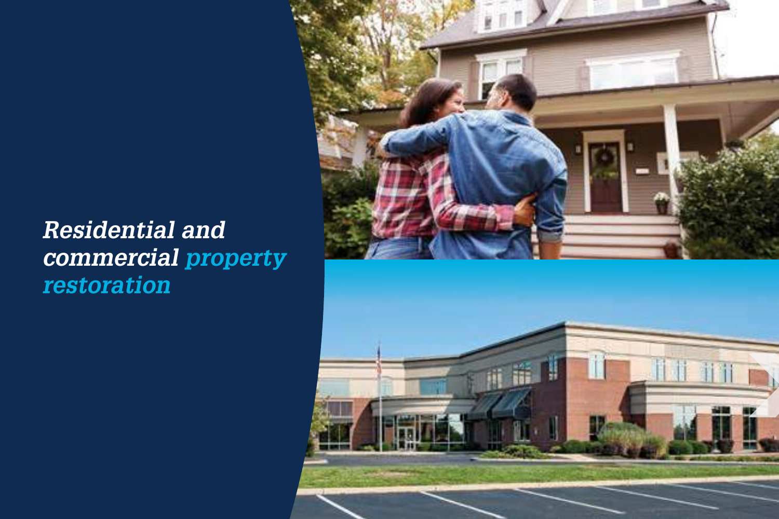### **Residential and commercial property restoration**

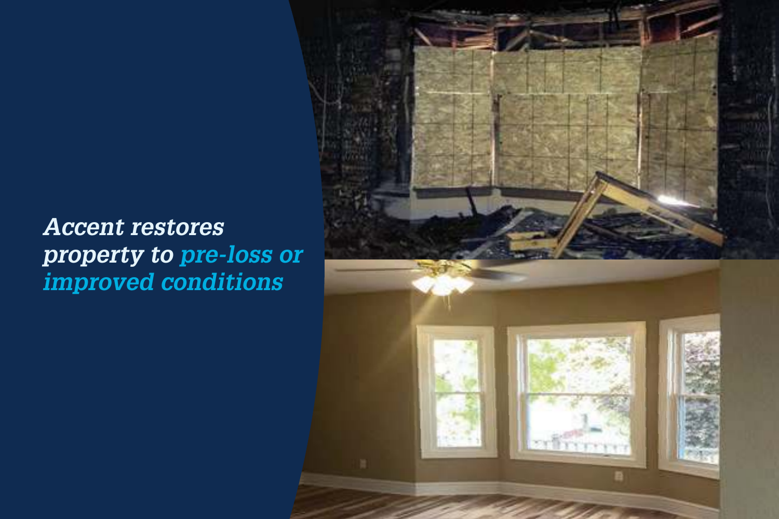### **Accent restores property to pre-loss or improved conditions**

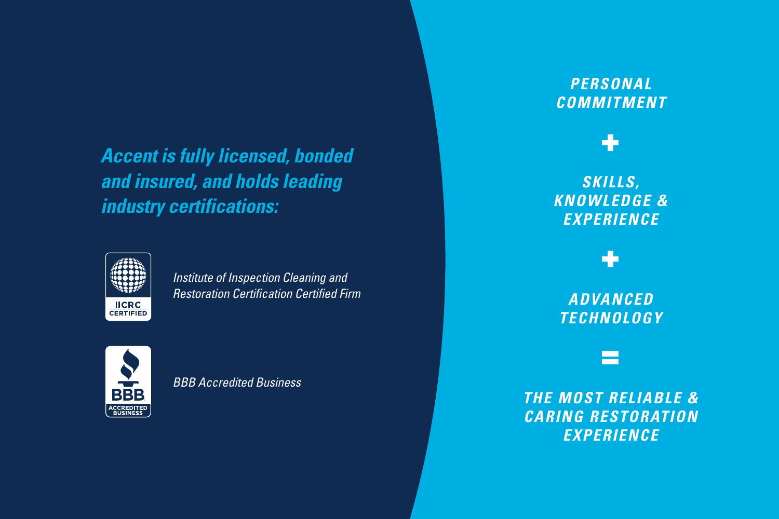*Accent is fully licensed, bonded and insured, and holds leading industry certifications:* 



Institute of Inspection Cleaning and Restoration Certification Certified Firm



BBB Accredited Business

### *PERSONAL COMMITMENT*



### *SKILLS, KNOWLEDGE & EXPERIENCE*

*ADVANCED TECHNOLOGY* 

*THE MOST RELIABLE & CARING RESTORATION EXPERIENCE*